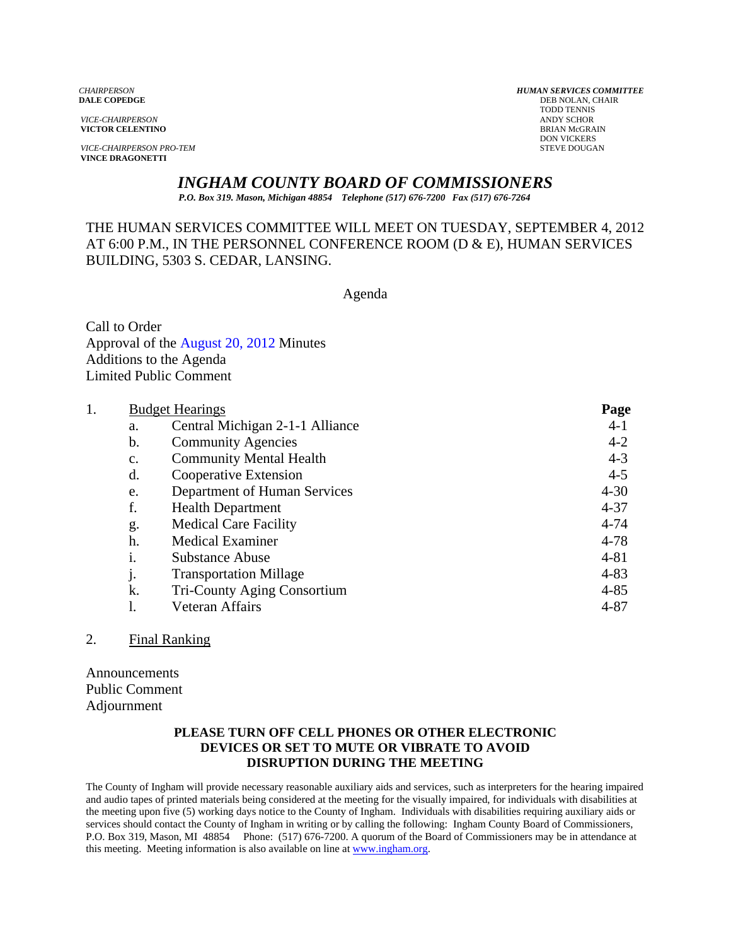**VICTOR CELENTINO** 

**VICE-CHAIRPERSON PRO-TEM VINCE DRAGONETTI** 

*CHAIRPERSON HUMAN SERVICES COMMITTEE* **DEB NOLAN, CHAIR**  TODD TENNIS *VICE-CHAIRPERSON* ANDY SCHOR DON VICKERS<br>STEVE DOUGAN

# *INGHAM COUNTY BOARD OF COMMISSIONERS*

*P.O. Box 319. Mason, Michigan 48854 Telephone (517) 676-7200 Fax (517) 676-7264*

# THE HUMAN SERVICES COMMITTEE WILL MEET ON TUESDAY, SEPTEMBER 4, 2012 AT 6:00 P.M., IN THE PERSONNEL CONFERENCE ROOM (D & E), HUMAN SERVICES BUILDING, 5303 S. CEDAR, LANSING.

Agenda

Call to Order Approval of [the August 20, 2012 Minutes](#page-1-0)  Additions to the Agenda Limited Public Comment

| 1. | <b>Budget Hearings</b> |                                 | Page     |
|----|------------------------|---------------------------------|----------|
|    | a.                     | Central Michigan 2-1-1 Alliance | $4-1$    |
|    | b.                     | <b>Community Agencies</b>       | $4 - 2$  |
|    | $\mathbf{c}$ .         | <b>Community Mental Health</b>  | $4 - 3$  |
|    | d.                     | Cooperative Extension           | $4 - 5$  |
|    | e.                     | Department of Human Services    | $4 - 30$ |
|    | f.                     | <b>Health Department</b>        | $4 - 37$ |
|    | g.                     | <b>Medical Care Facility</b>    | $4 - 74$ |
|    | h.                     | <b>Medical Examiner</b>         | $4 - 78$ |
|    | 1.                     | <b>Substance Abuse</b>          | $4 - 81$ |
|    | j.                     | <b>Transportation Millage</b>   | $4 - 83$ |
|    | k.                     | Tri-County Aging Consortium     | $4 - 85$ |
|    |                        | Veteran Affairs                 | $4 - 87$ |
|    |                        |                                 |          |

### 2. Final Ranking

Announcements Public Comment Adjournment

#### **PLEASE TURN OFF CELL PHONES OR OTHER ELECTRONIC DEVICES OR SET TO MUTE OR VIBRATE TO AVOID DISRUPTION DURING THE MEETING**

The County of Ingham will provide necessary reasonable auxiliary aids and services, such as interpreters for the hearing impaired and audio tapes of printed materials being considered at the meeting for the visually impaired, for individuals with disabilities at the meeting upon five (5) working days notice to the County of Ingham. Individuals with disabilities requiring auxiliary aids or services should contact the County of Ingham in writing or by calling the following: Ingham County Board of Commissioners, P.O. Box 319, Mason, MI 48854 Phone: (517) 676-7200. A quorum of the Board of Commissioners may be in attendance at this meeting. Meeting information is also available on line at www.ingham.org.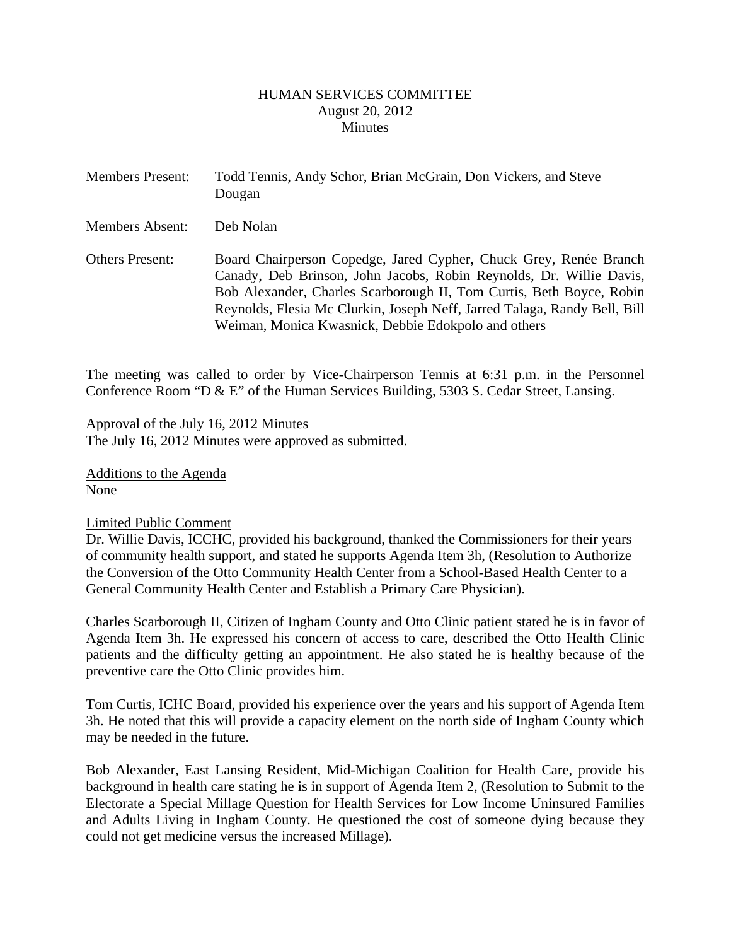#### HUMAN SERVICES COMMITTEE August 20, 2012 **Minutes**

<span id="page-1-0"></span>

| <b>Members Present:</b> | Todd Tennis, Andy Schor, Brian McGrain, Don Vickers, and Steve<br>Dougan                                                                                                                                                                                                                                                                             |
|-------------------------|------------------------------------------------------------------------------------------------------------------------------------------------------------------------------------------------------------------------------------------------------------------------------------------------------------------------------------------------------|
| <b>Members Absent:</b>  | Deb Nolan                                                                                                                                                                                                                                                                                                                                            |
| <b>Others Present:</b>  | Board Chairperson Copedge, Jared Cypher, Chuck Grey, Renée Branch<br>Canady, Deb Brinson, John Jacobs, Robin Reynolds, Dr. Willie Davis,<br>Bob Alexander, Charles Scarborough II, Tom Curtis, Beth Boyce, Robin<br>Reynolds, Flesia Mc Clurkin, Joseph Neff, Jarred Talaga, Randy Bell, Bill<br>Weiman, Monica Kwasnick, Debbie Edokpolo and others |

The meeting was called to order by Vice-Chairperson Tennis at 6:31 p.m. in the Personnel Conference Room "D & E" of the Human Services Building, 5303 S. Cedar Street, Lansing.

Approval of the July 16, 2012 Minutes The July 16, 2012 Minutes were approved as submitted.

Additions to the Agenda None

### Limited Public Comment

Dr. Willie Davis, ICCHC, provided his background, thanked the Commissioners for their years of community health support, and stated he supports Agenda Item 3h, (Resolution to Authorize the Conversion of the Otto Community Health Center from a School-Based Health Center to a General Community Health Center and Establish a Primary Care Physician).

Charles Scarborough II, Citizen of Ingham County and Otto Clinic patient stated he is in favor of Agenda Item 3h. He expressed his concern of access to care, described the Otto Health Clinic patients and the difficulty getting an appointment. He also stated he is healthy because of the preventive care the Otto Clinic provides him.

Tom Curtis, ICHC Board, provided his experience over the years and his support of Agenda Item 3h. He noted that this will provide a capacity element on the north side of Ingham County which may be needed in the future.

Bob Alexander, East Lansing Resident, Mid-Michigan Coalition for Health Care, provide his background in health care stating he is in support of Agenda Item 2, (Resolution to Submit to the Electorate a Special Millage Question for Health Services for Low Income Uninsured Families and Adults Living in Ingham County. He questioned the cost of someone dying because they could not get medicine versus the increased Millage).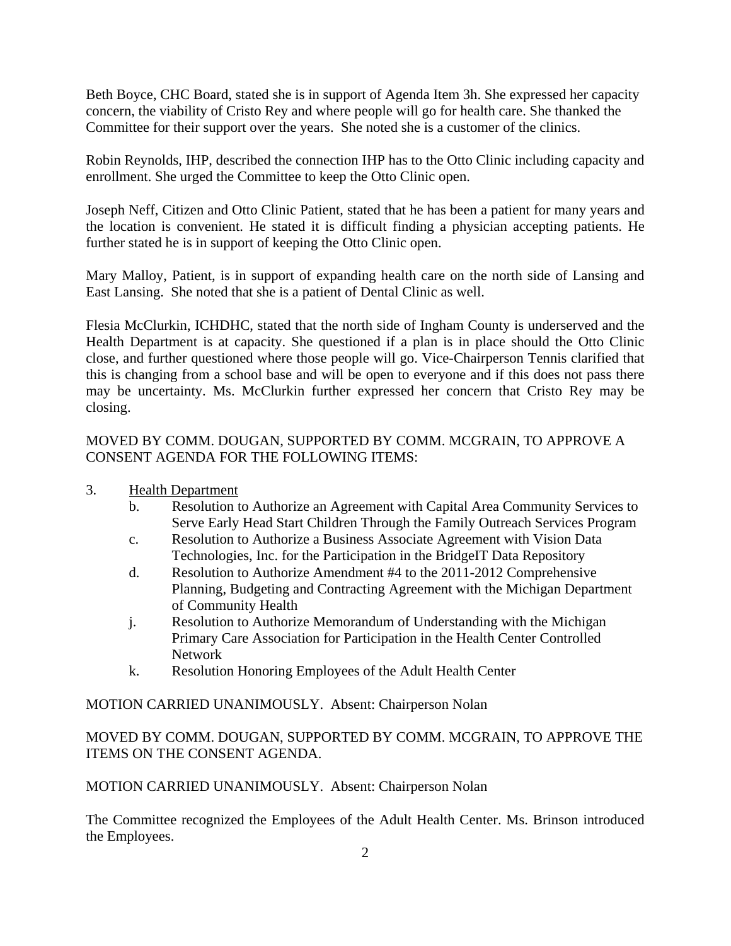Beth Boyce, CHC Board, stated she is in support of Agenda Item 3h. She expressed her capacity concern, the viability of Cristo Rey and where people will go for health care. She thanked the Committee for their support over the years. She noted she is a customer of the clinics.

Robin Reynolds, IHP, described the connection IHP has to the Otto Clinic including capacity and enrollment. She urged the Committee to keep the Otto Clinic open.

Joseph Neff, Citizen and Otto Clinic Patient, stated that he has been a patient for many years and the location is convenient. He stated it is difficult finding a physician accepting patients. He further stated he is in support of keeping the Otto Clinic open.

Mary Malloy, Patient, is in support of expanding health care on the north side of Lansing and East Lansing. She noted that she is a patient of Dental Clinic as well.

Flesia McClurkin, ICHDHC, stated that the north side of Ingham County is underserved and the Health Department is at capacity. She questioned if a plan is in place should the Otto Clinic close, and further questioned where those people will go. Vice-Chairperson Tennis clarified that this is changing from a school base and will be open to everyone and if this does not pass there may be uncertainty. Ms. McClurkin further expressed her concern that Cristo Rey may be closing.

MOVED BY COMM. DOUGAN, SUPPORTED BY COMM. MCGRAIN, TO APPROVE A CONSENT AGENDA FOR THE FOLLOWING ITEMS:

- 3. Health Department
	- b. Resolution to Authorize an Agreement with Capital Area Community Services to Serve Early Head Start Children Through the Family Outreach Services Program
	- c. Resolution to Authorize a Business Associate Agreement with Vision Data Technologies, Inc. for the Participation in the BridgeIT Data Repository
	- d. Resolution to Authorize Amendment #4 to the 2011-2012 Comprehensive Planning, Budgeting and Contracting Agreement with the Michigan Department of Community Health
	- j. Resolution to Authorize Memorandum of Understanding with the Michigan Primary Care Association for Participation in the Health Center Controlled Network
	- k. Resolution Honoring Employees of the Adult Health Center

MOTION CARRIED UNANIMOUSLY. Absent: Chairperson Nolan

# MOVED BY COMM. DOUGAN, SUPPORTED BY COMM. MCGRAIN, TO APPROVE THE ITEMS ON THE CONSENT AGENDA.

MOTION CARRIED UNANIMOUSLY. Absent: Chairperson Nolan

The Committee recognized the Employees of the Adult Health Center. Ms. Brinson introduced the Employees.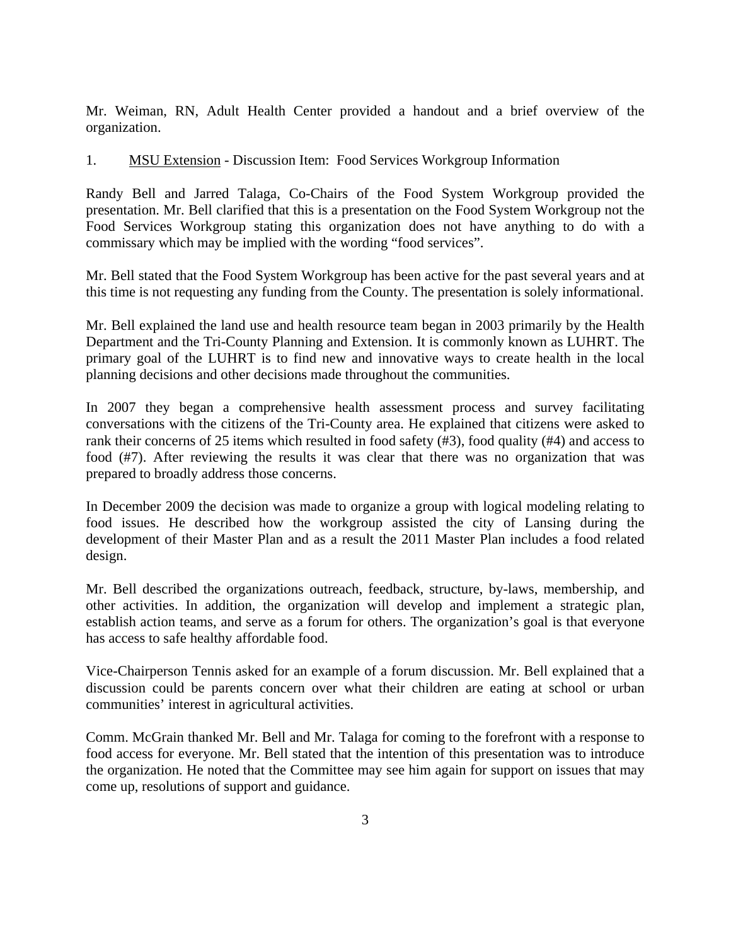Mr. Weiman, RN, Adult Health Center provided a handout and a brief overview of the organization.

## 1. MSU Extension - Discussion Item: Food Services Workgroup Information

Randy Bell and Jarred Talaga, Co-Chairs of the Food System Workgroup provided the presentation. Mr. Bell clarified that this is a presentation on the Food System Workgroup not the Food Services Workgroup stating this organization does not have anything to do with a commissary which may be implied with the wording "food services".

Mr. Bell stated that the Food System Workgroup has been active for the past several years and at this time is not requesting any funding from the County. The presentation is solely informational.

Mr. Bell explained the land use and health resource team began in 2003 primarily by the Health Department and the Tri-County Planning and Extension. It is commonly known as LUHRT. The primary goal of the LUHRT is to find new and innovative ways to create health in the local planning decisions and other decisions made throughout the communities.

In 2007 they began a comprehensive health assessment process and survey facilitating conversations with the citizens of the Tri-County area. He explained that citizens were asked to rank their concerns of 25 items which resulted in food safety (#3), food quality (#4) and access to food (#7). After reviewing the results it was clear that there was no organization that was prepared to broadly address those concerns.

In December 2009 the decision was made to organize a group with logical modeling relating to food issues. He described how the workgroup assisted the city of Lansing during the development of their Master Plan and as a result the 2011 Master Plan includes a food related design.

Mr. Bell described the organizations outreach, feedback, structure, by-laws, membership, and other activities. In addition, the organization will develop and implement a strategic plan, establish action teams, and serve as a forum for others. The organization's goal is that everyone has access to safe healthy affordable food.

Vice-Chairperson Tennis asked for an example of a forum discussion. Mr. Bell explained that a discussion could be parents concern over what their children are eating at school or urban communities' interest in agricultural activities.

Comm. McGrain thanked Mr. Bell and Mr. Talaga for coming to the forefront with a response to food access for everyone. Mr. Bell stated that the intention of this presentation was to introduce the organization. He noted that the Committee may see him again for support on issues that may come up, resolutions of support and guidance.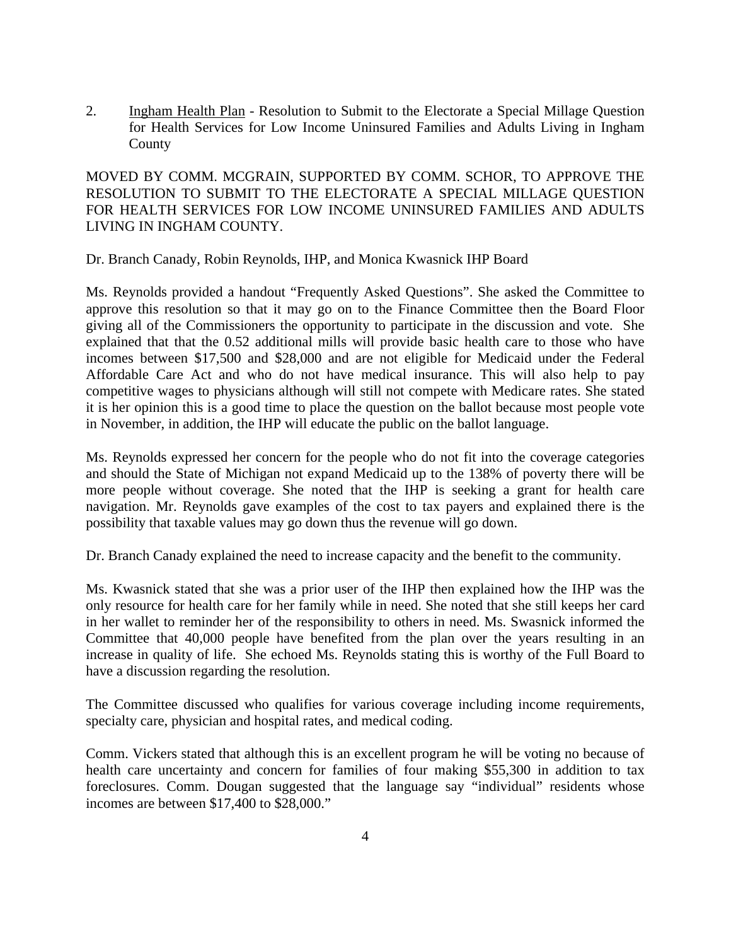2. Ingham Health Plan - Resolution to Submit to the Electorate a Special Millage Question for Health Services for Low Income Uninsured Families and Adults Living in Ingham County

MOVED BY COMM. MCGRAIN, SUPPORTED BY COMM. SCHOR, TO APPROVE THE RESOLUTION TO SUBMIT TO THE ELECTORATE A SPECIAL MILLAGE QUESTION FOR HEALTH SERVICES FOR LOW INCOME UNINSURED FAMILIES AND ADULTS LIVING IN INGHAM COUNTY.

Dr. Branch Canady, Robin Reynolds, IHP, and Monica Kwasnick IHP Board

Ms. Reynolds provided a handout "Frequently Asked Questions". She asked the Committee to approve this resolution so that it may go on to the Finance Committee then the Board Floor giving all of the Commissioners the opportunity to participate in the discussion and vote. She explained that that the 0.52 additional mills will provide basic health care to those who have incomes between \$17,500 and \$28,000 and are not eligible for Medicaid under the Federal Affordable Care Act and who do not have medical insurance. This will also help to pay competitive wages to physicians although will still not compete with Medicare rates. She stated it is her opinion this is a good time to place the question on the ballot because most people vote in November, in addition, the IHP will educate the public on the ballot language.

Ms. Reynolds expressed her concern for the people who do not fit into the coverage categories and should the State of Michigan not expand Medicaid up to the 138% of poverty there will be more people without coverage. She noted that the IHP is seeking a grant for health care navigation. Mr. Reynolds gave examples of the cost to tax payers and explained there is the possibility that taxable values may go down thus the revenue will go down.

Dr. Branch Canady explained the need to increase capacity and the benefit to the community.

Ms. Kwasnick stated that she was a prior user of the IHP then explained how the IHP was the only resource for health care for her family while in need. She noted that she still keeps her card in her wallet to reminder her of the responsibility to others in need. Ms. Swasnick informed the Committee that 40,000 people have benefited from the plan over the years resulting in an increase in quality of life. She echoed Ms. Reynolds stating this is worthy of the Full Board to have a discussion regarding the resolution.

The Committee discussed who qualifies for various coverage including income requirements, specialty care, physician and hospital rates, and medical coding.

Comm. Vickers stated that although this is an excellent program he will be voting no because of health care uncertainty and concern for families of four making \$55,300 in addition to tax foreclosures. Comm. Dougan suggested that the language say "individual" residents whose incomes are between \$17,400 to \$28,000."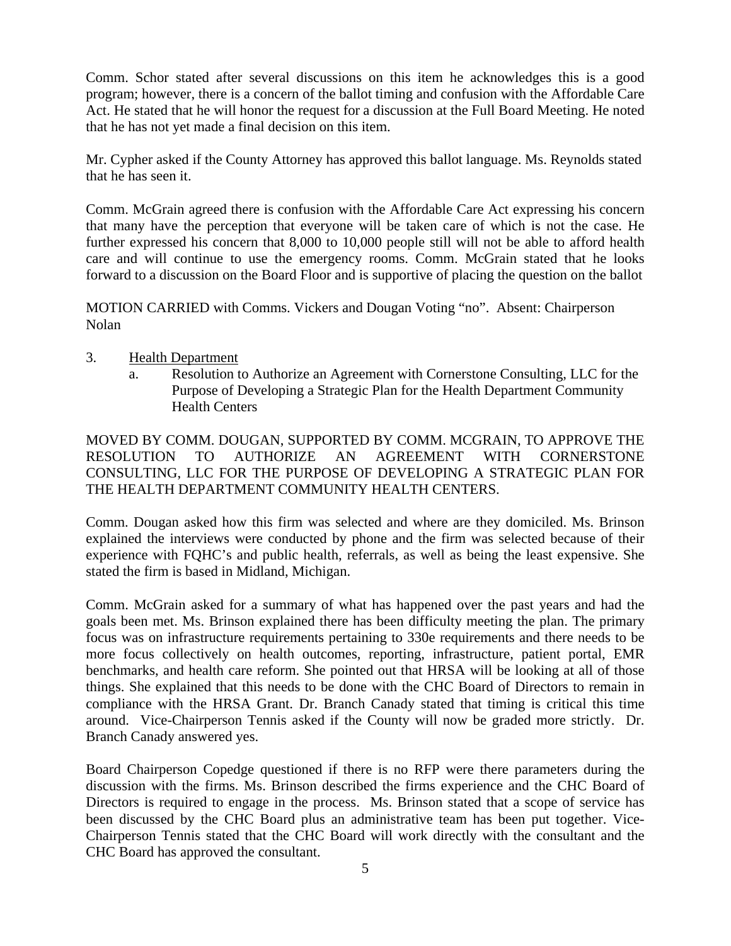Comm. Schor stated after several discussions on this item he acknowledges this is a good program; however, there is a concern of the ballot timing and confusion with the Affordable Care Act. He stated that he will honor the request for a discussion at the Full Board Meeting. He noted that he has not yet made a final decision on this item.

Mr. Cypher asked if the County Attorney has approved this ballot language. Ms. Reynolds stated that he has seen it.

Comm. McGrain agreed there is confusion with the Affordable Care Act expressing his concern that many have the perception that everyone will be taken care of which is not the case. He further expressed his concern that 8,000 to 10,000 people still will not be able to afford health care and will continue to use the emergency rooms. Comm. McGrain stated that he looks forward to a discussion on the Board Floor and is supportive of placing the question on the ballot

MOTION CARRIED with Comms. Vickers and Dougan Voting "no". Absent: Chairperson Nolan

- 3. Health Department
	- a. Resolution to Authorize an Agreement with Cornerstone Consulting, LLC for the Purpose of Developing a Strategic Plan for the Health Department Community Health Centers

MOVED BY COMM. DOUGAN, SUPPORTED BY COMM. MCGRAIN, TO APPROVE THE RESOLUTION TO AUTHORIZE AN AGREEMENT WITH CORNERSTONE CONSULTING, LLC FOR THE PURPOSE OF DEVELOPING A STRATEGIC PLAN FOR THE HEALTH DEPARTMENT COMMUNITY HEALTH CENTERS.

Comm. Dougan asked how this firm was selected and where are they domiciled. Ms. Brinson explained the interviews were conducted by phone and the firm was selected because of their experience with FQHC's and public health, referrals, as well as being the least expensive. She stated the firm is based in Midland, Michigan.

Comm. McGrain asked for a summary of what has happened over the past years and had the goals been met. Ms. Brinson explained there has been difficulty meeting the plan. The primary focus was on infrastructure requirements pertaining to 330e requirements and there needs to be more focus collectively on health outcomes, reporting, infrastructure, patient portal, EMR benchmarks, and health care reform. She pointed out that HRSA will be looking at all of those things. She explained that this needs to be done with the CHC Board of Directors to remain in compliance with the HRSA Grant. Dr. Branch Canady stated that timing is critical this time around. Vice-Chairperson Tennis asked if the County will now be graded more strictly. Dr. Branch Canady answered yes.

Board Chairperson Copedge questioned if there is no RFP were there parameters during the discussion with the firms. Ms. Brinson described the firms experience and the CHC Board of Directors is required to engage in the process. Ms. Brinson stated that a scope of service has been discussed by the CHC Board plus an administrative team has been put together. Vice-Chairperson Tennis stated that the CHC Board will work directly with the consultant and the CHC Board has approved the consultant.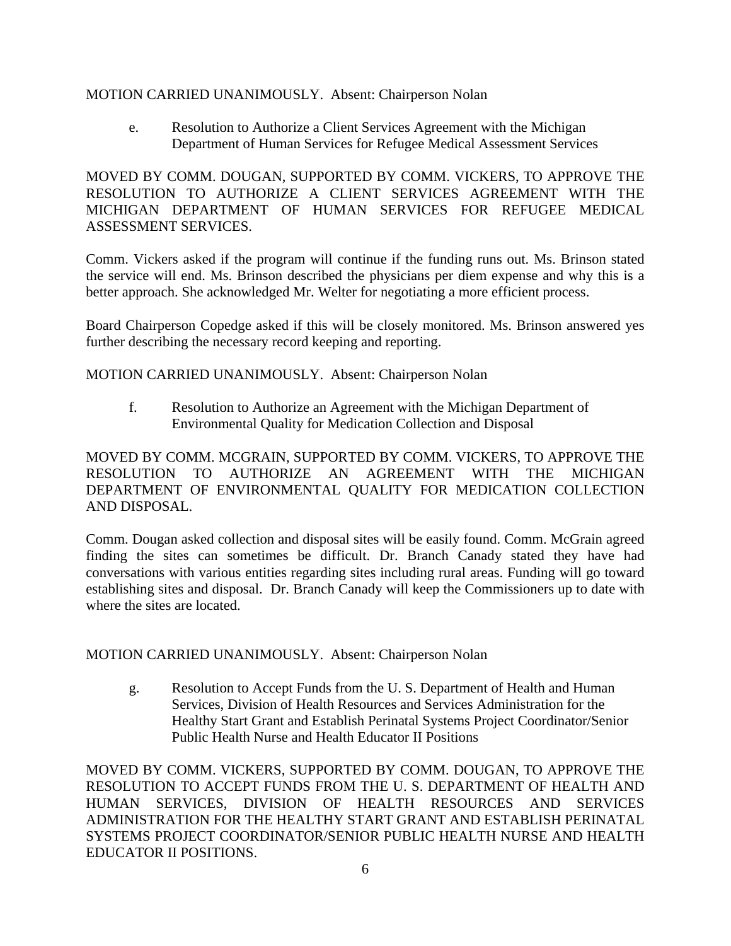### MOTION CARRIED UNANIMOUSLY. Absent: Chairperson Nolan

e. Resolution to Authorize a Client Services Agreement with the Michigan Department of Human Services for Refugee Medical Assessment Services

MOVED BY COMM. DOUGAN, SUPPORTED BY COMM. VICKERS, TO APPROVE THE RESOLUTION TO AUTHORIZE A CLIENT SERVICES AGREEMENT WITH THE MICHIGAN DEPARTMENT OF HUMAN SERVICES FOR REFUGEE MEDICAL ASSESSMENT SERVICES.

Comm. Vickers asked if the program will continue if the funding runs out. Ms. Brinson stated the service will end. Ms. Brinson described the physicians per diem expense and why this is a better approach. She acknowledged Mr. Welter for negotiating a more efficient process.

Board Chairperson Copedge asked if this will be closely monitored. Ms. Brinson answered yes further describing the necessary record keeping and reporting.

MOTION CARRIED UNANIMOUSLY. Absent: Chairperson Nolan

f. Resolution to Authorize an Agreement with the Michigan Department of Environmental Quality for Medication Collection and Disposal

MOVED BY COMM. MCGRAIN, SUPPORTED BY COMM. VICKERS, TO APPROVE THE RESOLUTION TO AUTHORIZE AN AGREEMENT WITH THE MICHIGAN DEPARTMENT OF ENVIRONMENTAL QUALITY FOR MEDICATION COLLECTION AND DISPOSAL.

Comm. Dougan asked collection and disposal sites will be easily found. Comm. McGrain agreed finding the sites can sometimes be difficult. Dr. Branch Canady stated they have had conversations with various entities regarding sites including rural areas. Funding will go toward establishing sites and disposal. Dr. Branch Canady will keep the Commissioners up to date with where the sites are located.

MOTION CARRIED UNANIMOUSLY. Absent: Chairperson Nolan

g. Resolution to Accept Funds from the U. S. Department of Health and Human Services, Division of Health Resources and Services Administration for the Healthy Start Grant and Establish Perinatal Systems Project Coordinator/Senior Public Health Nurse and Health Educator II Positions

MOVED BY COMM. VICKERS, SUPPORTED BY COMM. DOUGAN, TO APPROVE THE RESOLUTION TO ACCEPT FUNDS FROM THE U. S. DEPARTMENT OF HEALTH AND HUMAN SERVICES, DIVISION OF HEALTH RESOURCES AND SERVICES ADMINISTRATION FOR THE HEALTHY START GRANT AND ESTABLISH PERINATAL SYSTEMS PROJECT COORDINATOR/SENIOR PUBLIC HEALTH NURSE AND HEALTH EDUCATOR II POSITIONS.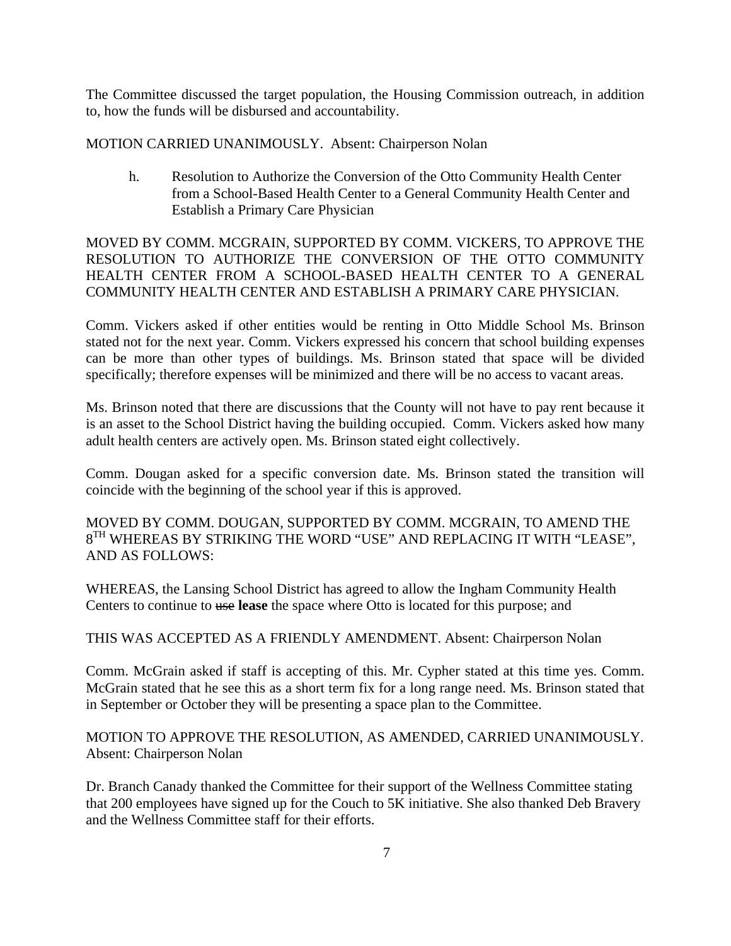The Committee discussed the target population, the Housing Commission outreach, in addition to, how the funds will be disbursed and accountability.

MOTION CARRIED UNANIMOUSLY. Absent: Chairperson Nolan

h. Resolution to Authorize the Conversion of the Otto Community Health Center from a School-Based Health Center to a General Community Health Center and Establish a Primary Care Physician

MOVED BY COMM. MCGRAIN, SUPPORTED BY COMM. VICKERS, TO APPROVE THE RESOLUTION TO AUTHORIZE THE CONVERSION OF THE OTTO COMMUNITY HEALTH CENTER FROM A SCHOOL-BASED HEALTH CENTER TO A GENERAL COMMUNITY HEALTH CENTER AND ESTABLISH A PRIMARY CARE PHYSICIAN.

Comm. Vickers asked if other entities would be renting in Otto Middle School Ms. Brinson stated not for the next year. Comm. Vickers expressed his concern that school building expenses can be more than other types of buildings. Ms. Brinson stated that space will be divided specifically; therefore expenses will be minimized and there will be no access to vacant areas.

Ms. Brinson noted that there are discussions that the County will not have to pay rent because it is an asset to the School District having the building occupied. Comm. Vickers asked how many adult health centers are actively open. Ms. Brinson stated eight collectively.

Comm. Dougan asked for a specific conversion date. Ms. Brinson stated the transition will coincide with the beginning of the school year if this is approved.

MOVED BY COMM. DOUGAN, SUPPORTED BY COMM. MCGRAIN, TO AMEND THE  $8^{TH}$  WHEREAS BY STRIKING THE WORD "USE" AND REPLACING IT WITH "LEASE", AND AS FOLLOWS:

WHEREAS, the Lansing School District has agreed to allow the Ingham Community Health Centers to continue to use **lease** the space where Otto is located for this purpose; and

THIS WAS ACCEPTED AS A FRIENDLY AMENDMENT. Absent: Chairperson Nolan

Comm. McGrain asked if staff is accepting of this. Mr. Cypher stated at this time yes. Comm. McGrain stated that he see this as a short term fix for a long range need. Ms. Brinson stated that in September or October they will be presenting a space plan to the Committee.

MOTION TO APPROVE THE RESOLUTION, AS AMENDED, CARRIED UNANIMOUSLY. Absent: Chairperson Nolan

Dr. Branch Canady thanked the Committee for their support of the Wellness Committee stating that 200 employees have signed up for the Couch to 5K initiative. She also thanked Deb Bravery and the Wellness Committee staff for their efforts.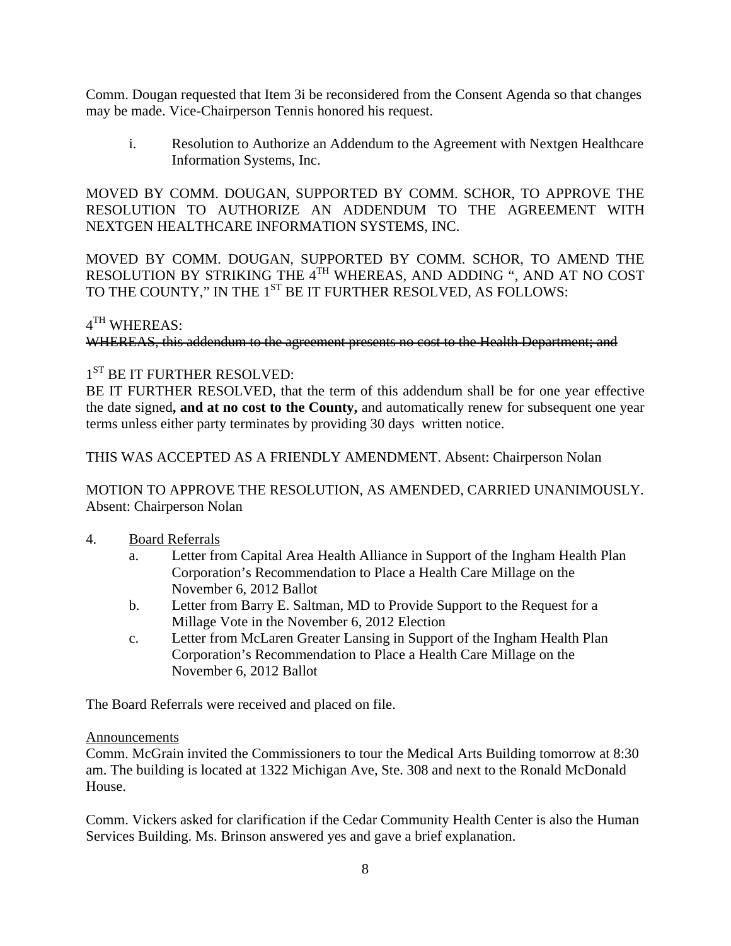Comm. Dougan requested that Item 3i be reconsidered from the Consent Agenda so that changes may be made. Vice-Chairperson Tennis honored his request.

i. Resolution to Authorize an Addendum to the Agreement with Nextgen Healthcare Information Systems, Inc.

MOVED BY COMM. DOUGAN, SUPPORTED BY COMM. SCHOR, TO APPROVE THE RESOLUTION TO AUTHORIZE AN ADDENDUM TO THE AGREEMENT WITH NEXTGEN HEALTHCARE INFORMATION SYSTEMS, INC.

MOVED BY COMM. DOUGAN, SUPPORTED BY COMM. SCHOR, TO AMEND THE RESOLUTION BY STRIKING THE 4TH WHEREAS, AND ADDING ", AND AT NO COST TO THE COUNTY," IN THE 1<sup>ST</sup> BE IT FURTHER RESOLVED, AS FOLLOWS:

## $4^{TH}$  WHEREAS:

WHEREAS, this addendum to the agreement presents no cost to the Health Department; and

## 1<sup>ST</sup> BE IT FURTHER RESOLVED:

BE IT FURTHER RESOLVED, that the term of this addendum shall be for one year effective the date signed**, and at no cost to the County,** and automatically renew for subsequent one year terms unless either party terminates by providing 30 days written notice.

THIS WAS ACCEPTED AS A FRIENDLY AMENDMENT. Absent: Chairperson Nolan

MOTION TO APPROVE THE RESOLUTION, AS AMENDED, CARRIED UNANIMOUSLY. Absent: Chairperson Nolan

### 4. Board Referrals

- a. Letter from Capital Area Health Alliance in Support of the Ingham Health Plan Corporation's Recommendation to Place a Health Care Millage on the November 6, 2012 Ballot
- b. Letter from Barry E. Saltman, MD to Provide Support to the Request for a Millage Vote in the November 6, 2012 Election
- c. Letter from McLaren Greater Lansing in Support of the Ingham Health Plan Corporation's Recommendation to Place a Health Care Millage on the November 6, 2012 Ballot

The Board Referrals were received and placed on file.

#### Announcements

Comm. McGrain invited the Commissioners to tour the Medical Arts Building tomorrow at 8:30 am. The building is located at 1322 Michigan Ave, Ste. 308 and next to the Ronald McDonald House.

Comm. Vickers asked for clarification if the Cedar Community Health Center is also the Human Services Building. Ms. Brinson answered yes and gave a brief explanation.